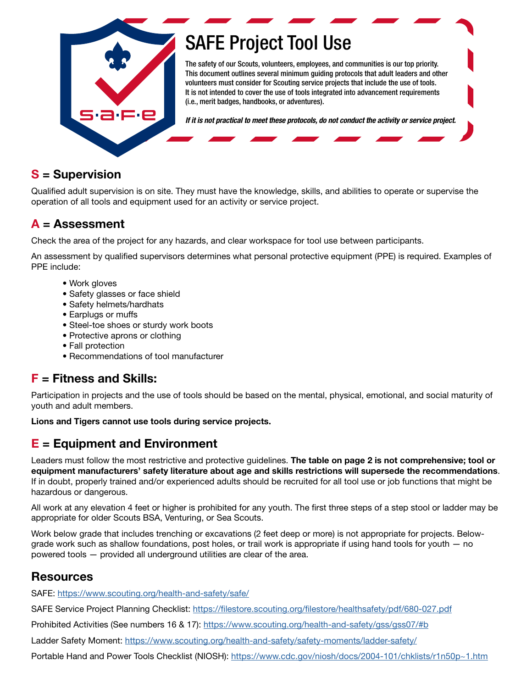

# [SAFE Project Tool Use](https://www.scouting.org/health-and-safety/safe/)

The safety of our Scouts, volunteers, employees, and communities is our top priority. This document outlines several minimum guiding protocols that adult leaders and other volunteers must consider for Scouting service projects that include the use of tools. It is not intended to cover the use of tools integrated into advancement requirements (i.e., merit badges, handbooks, or adventures).

*If it is not practical to meet these protocols, do not conduct the activity or service project.*

### S = Supervision

Qualified adult supervision is on site. They must have the knowledge, skills, and abilities to operate or supervise the operation of all tools and equipment used for an activity or service project.

## A = Assessment

Check the area of the project for any hazards, and clear workspace for tool use between participants.

An assessment by qualified supervisors determines what personal protective equipment (PPE) is required. Examples of PPE include:

- Work gloves
- Safety glasses or face shield
- Safety helmets/hardhats
- Earplugs or muffs
- Steel-toe shoes or sturdy work boots
- Protective aprons or clothing
- Fall protection
- Recommendations of tool manufacturer

## $F =$  Fitness and Skills:

Participation in projects and the use of tools should be based on the mental, physical, emotional, and social maturity of youth and adult members.

Lions and Tigers cannot use tools during service projects.

## $E =$  Equipment and Environment

Leaders must follow the most restrictive and protective guidelines. The table on page 2 is not comprehensive; tool or equipment manufacturers' safety literature about age and skills restrictions will supersede the recommendations. If in doubt, properly trained and/or experienced adults should be recruited for all tool use or job functions that might be hazardous or dangerous.

All work at any elevation 4 feet or higher is prohibited for any youth. The first three steps of a step stool or ladder may be appropriate for older Scouts BSA, Venturing, or Sea Scouts.

Work below grade that includes trenching or excavations (2 feet deep or more) is not appropriate for projects. Belowgrade work such as shallow foundations, post holes, or trail work is appropriate if using hand tools for youth — no powered tools — provided all underground utilities are clear of the area.

## Resources

SAFE:<https://www.scouting.org/health-and-safety/safe/>

SAFE Service Project Planning Checklist:<https://filestore.scouting.org/filestore/healthsafety/pdf/680-027.pdf>

Prohibited Activities (See numbers 16 & 17):<https://www.scouting.org/health-and-safety/gss/gss07/#b>

Ladder Safety Moment: <https://www.scouting.org/health-and-safety/safety-moments/ladder-safety/>

Portable Hand and Power Tools Checklist (NIOSH):<https://www.cdc.gov/niosh/docs/2004-101/chklists/r1n50p~1.htm>